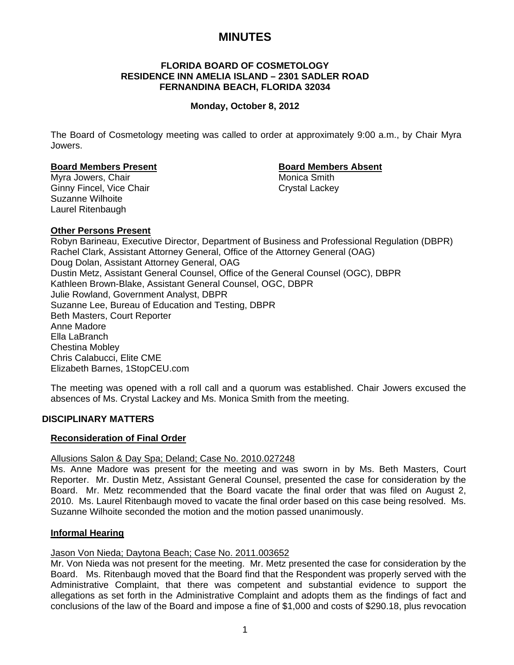# **MINUTES**

### **FLORIDA BOARD OF COSMETOLOGY RESIDENCE INN AMELIA ISLAND – 2301 SADLER ROAD FERNANDINA BEACH, FLORIDA 32034**

## **Monday, October 8, 2012**

The Board of Cosmetology meeting was called to order at approximately 9:00 a.m., by Chair Myra Jowers.

#### **Board Members Present Communist Board Members Absent**

Myra Jowers, Chair **Music America Smith** Monica Smith Ginny Fincel, Vice Chair Chair Crystal Lackey Suzanne Wilhoite Laurel Ritenbaugh

## **Other Persons Present**

Robyn Barineau, Executive Director, Department of Business and Professional Regulation (DBPR) Rachel Clark, Assistant Attorney General, Office of the Attorney General (OAG) Doug Dolan, Assistant Attorney General, OAG Dustin Metz, Assistant General Counsel, Office of the General Counsel (OGC), DBPR Kathleen Brown-Blake, Assistant General Counsel, OGC, DBPR Julie Rowland, Government Analyst, DBPR Suzanne Lee, Bureau of Education and Testing, DBPR Beth Masters, Court Reporter Anne Madore Ella LaBranch Chestina Mobley Chris Calabucci, Elite CME Elizabeth Barnes, 1StopCEU.com

The meeting was opened with a roll call and a quorum was established. Chair Jowers excused the absences of Ms. Crystal Lackey and Ms. Monica Smith from the meeting.

#### **DISCIPLINARY MATTERS**

#### **Reconsideration of Final Order**

#### Allusions Salon & Day Spa; Deland; Case No. 2010.027248

Ms. Anne Madore was present for the meeting and was sworn in by Ms. Beth Masters, Court Reporter. Mr. Dustin Metz, Assistant General Counsel, presented the case for consideration by the Board. Mr. Metz recommended that the Board vacate the final order that was filed on August 2, 2010. Ms. Laurel Ritenbaugh moved to vacate the final order based on this case being resolved. Ms. Suzanne Wilhoite seconded the motion and the motion passed unanimously.

#### **Informal Hearing**

#### Jason Von Nieda; Daytona Beach; Case No. 2011.003652

Mr. Von Nieda was not present for the meeting. Mr. Metz presented the case for consideration by the Board. Ms. Ritenbaugh moved that the Board find that the Respondent was properly served with the Administrative Complaint, that there was competent and substantial evidence to support the allegations as set forth in the Administrative Complaint and adopts them as the findings of fact and conclusions of the law of the Board and impose a fine of \$1,000 and costs of \$290.18, plus revocation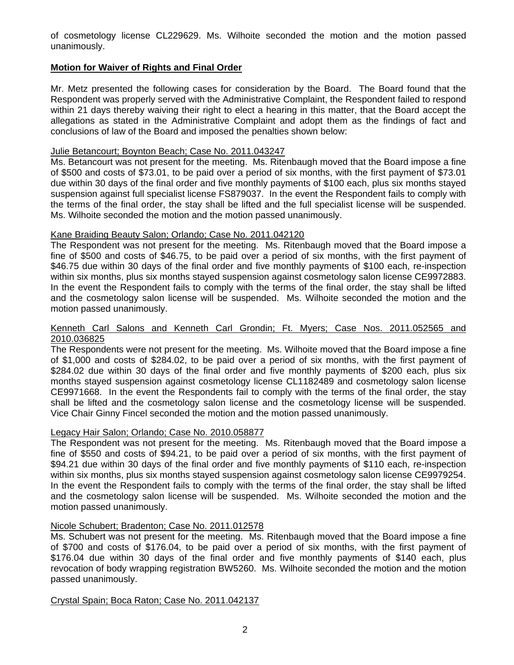of cosmetology license CL229629. Ms. Wilhoite seconded the motion and the motion passed unanimously.

## **Motion for Waiver of Rights and Final Order**

Mr. Metz presented the following cases for consideration by the Board. The Board found that the Respondent was properly served with the Administrative Complaint, the Respondent failed to respond within 21 days thereby waiving their right to elect a hearing in this matter, that the Board accept the allegations as stated in the Administrative Complaint and adopt them as the findings of fact and conclusions of law of the Board and imposed the penalties shown below:

## Julie Betancourt; Boynton Beach; Case No. 2011.043247

Ms. Betancourt was not present for the meeting. Ms. Ritenbaugh moved that the Board impose a fine of \$500 and costs of \$73.01, to be paid over a period of six months, with the first payment of \$73.01 due within 30 days of the final order and five monthly payments of \$100 each, plus six months stayed suspension against full specialist license FS879037. In the event the Respondent fails to comply with the terms of the final order, the stay shall be lifted and the full specialist license will be suspended. Ms. Wilhoite seconded the motion and the motion passed unanimously.

## Kane Braiding Beauty Salon; Orlando; Case No. 2011.042120

The Respondent was not present for the meeting. Ms. Ritenbaugh moved that the Board impose a fine of \$500 and costs of \$46.75, to be paid over a period of six months, with the first payment of \$46.75 due within 30 days of the final order and five monthly payments of \$100 each, re-inspection within six months, plus six months stayed suspension against cosmetology salon license CE9972883. In the event the Respondent fails to comply with the terms of the final order, the stay shall be lifted and the cosmetology salon license will be suspended. Ms. Wilhoite seconded the motion and the motion passed unanimously.

### Kenneth Carl Salons and Kenneth Carl Grondin; Ft. Myers; Case Nos. 2011.052565 and 2010.036825

The Respondents were not present for the meeting. Ms. Wilhoite moved that the Board impose a fine of \$1,000 and costs of \$284.02, to be paid over a period of six months, with the first payment of \$284.02 due within 30 days of the final order and five monthly payments of \$200 each, plus six months stayed suspension against cosmetology license CL1182489 and cosmetology salon license CE9971668. In the event the Respondents fail to comply with the terms of the final order, the stay shall be lifted and the cosmetology salon license and the cosmetology license will be suspended. Vice Chair Ginny Fincel seconded the motion and the motion passed unanimously.

## Legacy Hair Salon; Orlando; Case No. 2010.058877

The Respondent was not present for the meeting. Ms. Ritenbaugh moved that the Board impose a fine of \$550 and costs of \$94.21, to be paid over a period of six months, with the first payment of \$94.21 due within 30 days of the final order and five monthly payments of \$110 each, re-inspection within six months, plus six months stayed suspension against cosmetology salon license CE9979254. In the event the Respondent fails to comply with the terms of the final order, the stay shall be lifted and the cosmetology salon license will be suspended. Ms. Wilhoite seconded the motion and the motion passed unanimously.

## Nicole Schubert; Bradenton; Case No. 2011.012578

Ms. Schubert was not present for the meeting. Ms. Ritenbaugh moved that the Board impose a fine of \$700 and costs of \$176.04, to be paid over a period of six months, with the first payment of \$176.04 due within 30 days of the final order and five monthly payments of \$140 each, plus revocation of body wrapping registration BW5260. Ms. Wilhoite seconded the motion and the motion passed unanimously.

#### Crystal Spain; Boca Raton; Case No. 2011.042137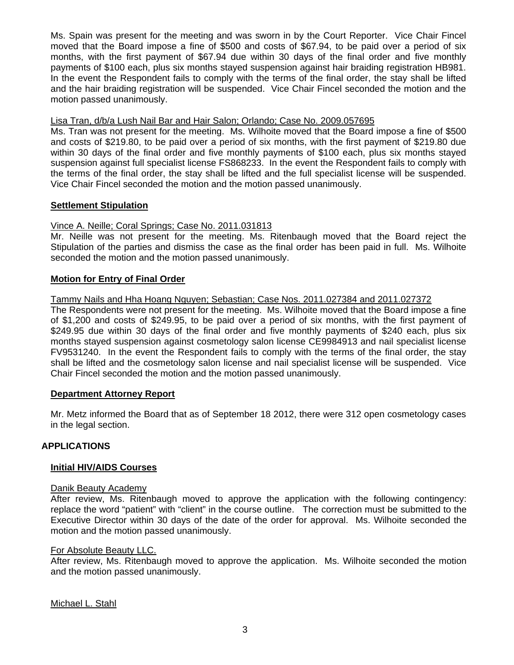Ms. Spain was present for the meeting and was sworn in by the Court Reporter. Vice Chair Fincel moved that the Board impose a fine of \$500 and costs of \$67.94, to be paid over a period of six months, with the first payment of \$67.94 due within 30 days of the final order and five monthly payments of \$100 each, plus six months stayed suspension against hair braiding registration HB981. In the event the Respondent fails to comply with the terms of the final order, the stay shall be lifted and the hair braiding registration will be suspended. Vice Chair Fincel seconded the motion and the motion passed unanimously.

### Lisa Tran, d/b/a Lush Nail Bar and Hair Salon; Orlando; Case No. 2009.057695

Ms. Tran was not present for the meeting. Ms. Wilhoite moved that the Board impose a fine of \$500 and costs of \$219.80, to be paid over a period of six months, with the first payment of \$219.80 due within 30 days of the final order and five monthly payments of \$100 each, plus six months stayed suspension against full specialist license FS868233. In the event the Respondent fails to comply with the terms of the final order, the stay shall be lifted and the full specialist license will be suspended. Vice Chair Fincel seconded the motion and the motion passed unanimously.

## **Settlement Stipulation**

## Vince A. Neille; Coral Springs; Case No. 2011.031813

Mr. Neille was not present for the meeting. Ms. Ritenbaugh moved that the Board reject the Stipulation of the parties and dismiss the case as the final order has been paid in full. Ms. Wilhoite seconded the motion and the motion passed unanimously.

## **Motion for Entry of Final Order**

## Tammy Nails and Hha Hoang Nguyen; Sebastian; Case Nos. 2011.027384 and 2011.027372

The Respondents were not present for the meeting. Ms. Wilhoite moved that the Board impose a fine of \$1,200 and costs of \$249.95, to be paid over a period of six months, with the first payment of \$249.95 due within 30 days of the final order and five monthly payments of \$240 each, plus six months stayed suspension against cosmetology salon license CE9984913 and nail specialist license FV9531240. In the event the Respondent fails to comply with the terms of the final order, the stay shall be lifted and the cosmetology salon license and nail specialist license will be suspended. Vice Chair Fincel seconded the motion and the motion passed unanimously.

### **Department Attorney Report**

Mr. Metz informed the Board that as of September 18 2012, there were 312 open cosmetology cases in the legal section.

#### **APPLICATIONS**

#### **Initial HIV/AIDS Courses**

#### Danik Beauty Academy

After review, Ms. Ritenbaugh moved to approve the application with the following contingency: replace the word "patient" with "client" in the course outline. The correction must be submitted to the Executive Director within 30 days of the date of the order for approval. Ms. Wilhoite seconded the motion and the motion passed unanimously.

#### For Absolute Beauty LLC.

After review, Ms. Ritenbaugh moved to approve the application. Ms. Wilhoite seconded the motion and the motion passed unanimously.

Michael L. Stahl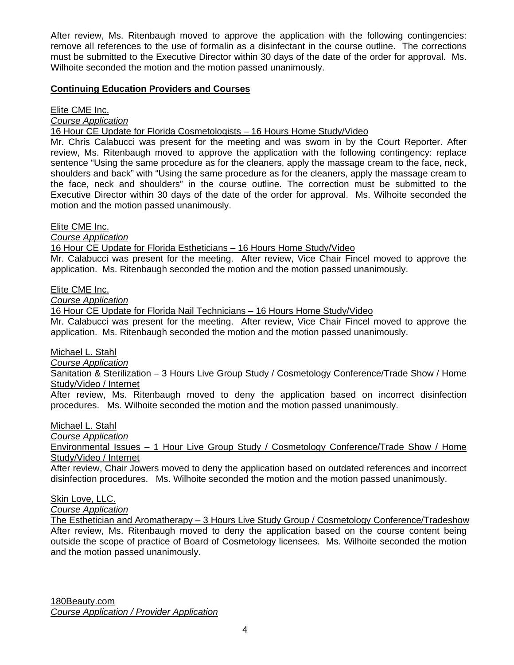After review, Ms. Ritenbaugh moved to approve the application with the following contingencies: remove all references to the use of formalin as a disinfectant in the course outline. The corrections must be submitted to the Executive Director within 30 days of the date of the order for approval. Ms. Wilhoite seconded the motion and the motion passed unanimously.

## **Continuing Education Providers and Courses**

Elite CME Inc.

*Course Application*

16 Hour CE Update for Florida Cosmetologists – 16 Hours Home Study/Video

Mr. Chris Calabucci was present for the meeting and was sworn in by the Court Reporter. After review, Ms. Ritenbaugh moved to approve the application with the following contingency: replace sentence "Using the same procedure as for the cleaners, apply the massage cream to the face, neck, shoulders and back" with "Using the same procedure as for the cleaners, apply the massage cream to the face, neck and shoulders" in the course outline. The correction must be submitted to the Executive Director within 30 days of the date of the order for approval. Ms. Wilhoite seconded the motion and the motion passed unanimously.

Elite CME Inc.

*Course Application*

16 Hour CE Update for Florida Estheticians – 16 Hours Home Study/Video

Mr. Calabucci was present for the meeting. After review, Vice Chair Fincel moved to approve the application. Ms. Ritenbaugh seconded the motion and the motion passed unanimously.

Elite CME Inc.

*Course Application*

16 Hour CE Update for Florida Nail Technicians – 16 Hours Home Study/Video

Mr. Calabucci was present for the meeting. After review, Vice Chair Fincel moved to approve the application. Ms. Ritenbaugh seconded the motion and the motion passed unanimously.

Michael L. Stahl

*Course Application*

Sanitation & Sterilization – 3 Hours Live Group Study / Cosmetology Conference/Trade Show / Home Study/Video / Internet

After review, Ms. Ritenbaugh moved to deny the application based on incorrect disinfection procedures. Ms. Wilhoite seconded the motion and the motion passed unanimously.

Michael L. Stahl

*Course Application*

Environmental Issues – 1 Hour Live Group Study / Cosmetology Conference/Trade Show / Home Study/Video / Internet

After review, Chair Jowers moved to deny the application based on outdated references and incorrect disinfection procedures. Ms. Wilhoite seconded the motion and the motion passed unanimously.

Skin Love, LLC.

*Course Application*

The Esthetician and Aromatherapy – 3 Hours Live Study Group / Cosmetology Conference/Tradeshow After review, Ms. Ritenbaugh moved to deny the application based on the course content being outside the scope of practice of Board of Cosmetology licensees. Ms. Wilhoite seconded the motion and the motion passed unanimously.

180Beauty.com *Course Application / Provider Application*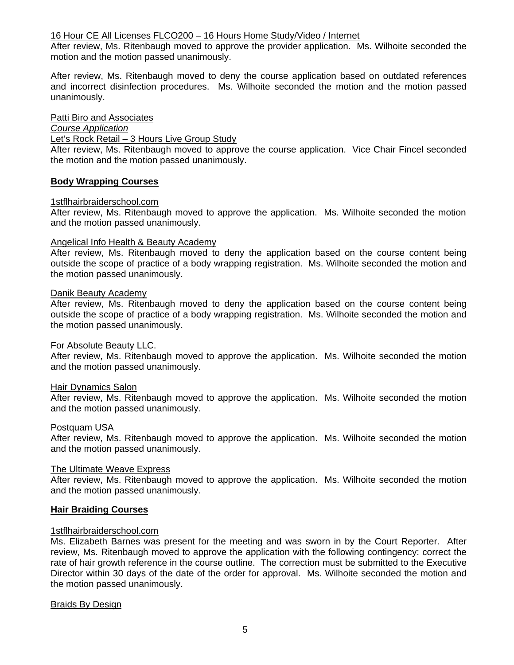### 16 Hour CE All Licenses FLCO200 – 16 Hours Home Study/Video / Internet

After review, Ms. Ritenbaugh moved to approve the provider application. Ms. Wilhoite seconded the motion and the motion passed unanimously.

After review, Ms. Ritenbaugh moved to deny the course application based on outdated references and incorrect disinfection procedures. Ms. Wilhoite seconded the motion and the motion passed unanimously.

#### Patti Biro and Associates

*Course Application*

Let's Rock Retail – 3 Hours Live Group Study

After review, Ms. Ritenbaugh moved to approve the course application. Vice Chair Fincel seconded the motion and the motion passed unanimously.

#### **Body Wrapping Courses**

#### 1stflhairbraiderschool.com

After review, Ms. Ritenbaugh moved to approve the application. Ms. Wilhoite seconded the motion and the motion passed unanimously.

## Angelical Info Health & Beauty Academy

After review, Ms. Ritenbaugh moved to deny the application based on the course content being outside the scope of practice of a body wrapping registration. Ms. Wilhoite seconded the motion and the motion passed unanimously.

#### Danik Beauty Academy

After review, Ms. Ritenbaugh moved to deny the application based on the course content being outside the scope of practice of a body wrapping registration. Ms. Wilhoite seconded the motion and the motion passed unanimously.

#### For Absolute Beauty LLC.

After review, Ms. Ritenbaugh moved to approve the application. Ms. Wilhoite seconded the motion and the motion passed unanimously.

#### Hair Dynamics Salon

After review, Ms. Ritenbaugh moved to approve the application. Ms. Wilhoite seconded the motion and the motion passed unanimously.

#### Postquam USA

After review, Ms. Ritenbaugh moved to approve the application. Ms. Wilhoite seconded the motion and the motion passed unanimously.

#### The Ultimate Weave Express

After review, Ms. Ritenbaugh moved to approve the application. Ms. Wilhoite seconded the motion and the motion passed unanimously.

### **Hair Braiding Courses**

#### 1stflhairbraiderschool.com

Ms. Elizabeth Barnes was present for the meeting and was sworn in by the Court Reporter. After review, Ms. Ritenbaugh moved to approve the application with the following contingency: correct the rate of hair growth reference in the course outline. The correction must be submitted to the Executive Director within 30 days of the date of the order for approval. Ms. Wilhoite seconded the motion and the motion passed unanimously.

#### Braids By Design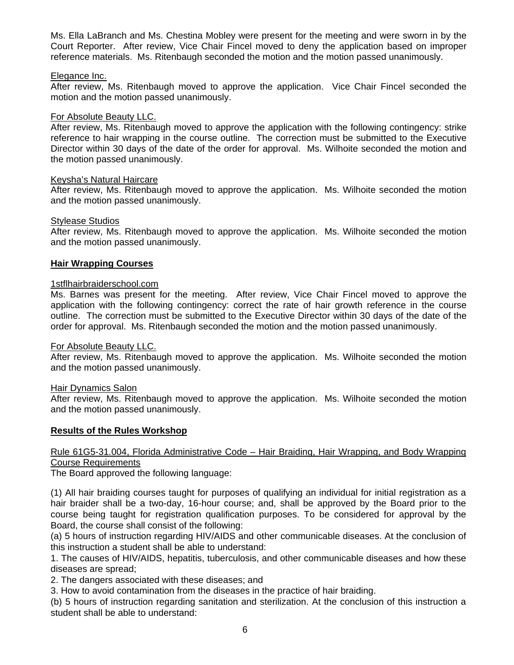Ms. Ella LaBranch and Ms. Chestina Mobley were present for the meeting and were sworn in by the Court Reporter. After review, Vice Chair Fincel moved to deny the application based on improper reference materials. Ms. Ritenbaugh seconded the motion and the motion passed unanimously.

### Elegance Inc.

After review, Ms. Ritenbaugh moved to approve the application. Vice Chair Fincel seconded the motion and the motion passed unanimously.

## For Absolute Beauty LLC.

After review, Ms. Ritenbaugh moved to approve the application with the following contingency: strike reference to hair wrapping in the course outline. The correction must be submitted to the Executive Director within 30 days of the date of the order for approval. Ms. Wilhoite seconded the motion and the motion passed unanimously.

## Keysha's Natural Haircare

After review, Ms. Ritenbaugh moved to approve the application. Ms. Wilhoite seconded the motion and the motion passed unanimously.

## Stylease Studios

After review, Ms. Ritenbaugh moved to approve the application. Ms. Wilhoite seconded the motion and the motion passed unanimously.

## **Hair Wrapping Courses**

## 1stflhairbraiderschool.com

Ms. Barnes was present for the meeting. After review, Vice Chair Fincel moved to approve the application with the following contingency: correct the rate of hair growth reference in the course outline. The correction must be submitted to the Executive Director within 30 days of the date of the order for approval. Ms. Ritenbaugh seconded the motion and the motion passed unanimously.

#### For Absolute Beauty LLC.

After review, Ms. Ritenbaugh moved to approve the application. Ms. Wilhoite seconded the motion and the motion passed unanimously.

#### Hair Dynamics Salon

After review, Ms. Ritenbaugh moved to approve the application. Ms. Wilhoite seconded the motion and the motion passed unanimously.

#### **Results of the Rules Workshop**

## Rule 61G5-31.004, Florida Administrative Code – Hair Braiding, Hair Wrapping, and Body Wrapping Course Requirements

The Board approved the following language:

(1) All hair braiding courses taught for purposes of qualifying an individual for initial registration as a hair braider shall be a two-day, 16-hour course; and, shall be approved by the Board prior to the course being taught for registration qualification purposes. To be considered for approval by the Board, the course shall consist of the following:

(a) 5 hours of instruction regarding HIV/AIDS and other communicable diseases. At the conclusion of this instruction a student shall be able to understand:

1. The causes of HIV/AIDS, hepatitis, tuberculosis, and other communicable diseases and how these diseases are spread;

2. The dangers associated with these diseases; and

3. How to avoid contamination from the diseases in the practice of hair braiding.

(b) 5 hours of instruction regarding sanitation and sterilization. At the conclusion of this instruction a student shall be able to understand: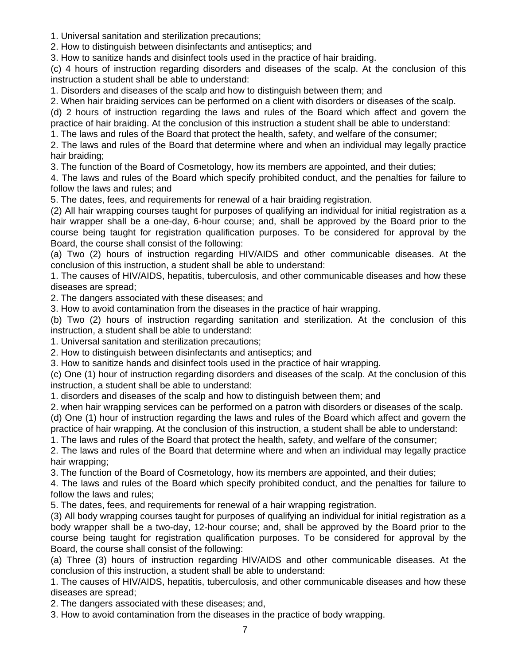1. Universal sanitation and sterilization precautions;

2. How to distinguish between disinfectants and antiseptics; and

3. How to sanitize hands and disinfect tools used in the practice of hair braiding.

(c) 4 hours of instruction regarding disorders and diseases of the scalp. At the conclusion of this instruction a student shall be able to understand:

1. Disorders and diseases of the scalp and how to distinguish between them; and

2. When hair braiding services can be performed on a client with disorders or diseases of the scalp.

(d) 2 hours of instruction regarding the laws and rules of the Board which affect and govern the practice of hair braiding. At the conclusion of this instruction a student shall be able to understand:

1. The laws and rules of the Board that protect the health, safety, and welfare of the consumer;

2. The laws and rules of the Board that determine where and when an individual may legally practice hair braiding;

3. The function of the Board of Cosmetology, how its members are appointed, and their duties;

4. The laws and rules of the Board which specify prohibited conduct, and the penalties for failure to follow the laws and rules; and

5. The dates, fees, and requirements for renewal of a hair braiding registration.

(2) All hair wrapping courses taught for purposes of qualifying an individual for initial registration as a hair wrapper shall be a one-day, 6-hour course; and, shall be approved by the Board prior to the course being taught for registration qualification purposes. To be considered for approval by the Board, the course shall consist of the following:

(a) Two (2) hours of instruction regarding HIV/AIDS and other communicable diseases. At the conclusion of this instruction, a student shall be able to understand:

1. The causes of HIV/AIDS, hepatitis, tuberculosis, and other communicable diseases and how these diseases are spread;

2. The dangers associated with these diseases; and

3. How to avoid contamination from the diseases in the practice of hair wrapping.

(b) Two (2) hours of instruction regarding sanitation and sterilization. At the conclusion of this instruction, a student shall be able to understand:

1. Universal sanitation and sterilization precautions;

2. How to distinguish between disinfectants and antiseptics; and

3. How to sanitize hands and disinfect tools used in the practice of hair wrapping.

(c) One (1) hour of instruction regarding disorders and diseases of the scalp. At the conclusion of this instruction, a student shall be able to understand:

1. disorders and diseases of the scalp and how to distinguish between them; and

2. when hair wrapping services can be performed on a patron with disorders or diseases of the scalp.

(d) One (1) hour of instruction regarding the laws and rules of the Board which affect and govern the practice of hair wrapping. At the conclusion of this instruction, a student shall be able to understand:

1. The laws and rules of the Board that protect the health, safety, and welfare of the consumer;

2. The laws and rules of the Board that determine where and when an individual may legally practice hair wrapping;

3. The function of the Board of Cosmetology, how its members are appointed, and their duties;

4. The laws and rules of the Board which specify prohibited conduct, and the penalties for failure to follow the laws and rules;

5. The dates, fees, and requirements for renewal of a hair wrapping registration.

(3) All body wrapping courses taught for purposes of qualifying an individual for initial registration as a body wrapper shall be a two-day, 12-hour course; and, shall be approved by the Board prior to the course being taught for registration qualification purposes. To be considered for approval by the Board, the course shall consist of the following:

(a) Three (3) hours of instruction regarding HIV/AIDS and other communicable diseases. At the conclusion of this instruction, a student shall be able to understand:

1. The causes of HIV/AIDS, hepatitis, tuberculosis, and other communicable diseases and how these diseases are spread;

2. The dangers associated with these diseases; and,

3. How to avoid contamination from the diseases in the practice of body wrapping.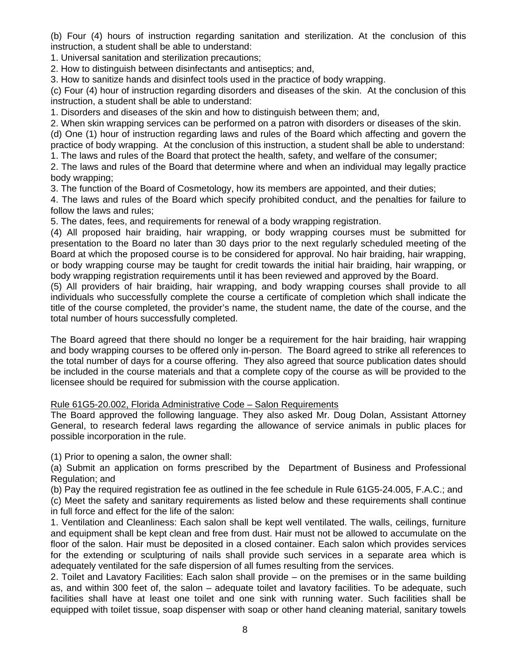(b) Four (4) hours of instruction regarding sanitation and sterilization. At the conclusion of this instruction, a student shall be able to understand:

1. Universal sanitation and sterilization precautions;

2. How to distinguish between disinfectants and antiseptics; and,

3. How to sanitize hands and disinfect tools used in the practice of body wrapping.

(c) Four (4) hour of instruction regarding disorders and diseases of the skin. At the conclusion of this instruction, a student shall be able to understand:

1. Disorders and diseases of the skin and how to distinguish between them; and,

2. When skin wrapping services can be performed on a patron with disorders or diseases of the skin. (d) One (1) hour of instruction regarding laws and rules of the Board which affecting and govern the practice of body wrapping. At the conclusion of this instruction, a student shall be able to understand:

1. The laws and rules of the Board that protect the health, safety, and welfare of the consumer;

2. The laws and rules of the Board that determine where and when an individual may legally practice body wrapping;

3. The function of the Board of Cosmetology, how its members are appointed, and their duties;

4. The laws and rules of the Board which specify prohibited conduct, and the penalties for failure to follow the laws and rules;

5. The dates, fees, and requirements for renewal of a body wrapping registration.

(4) All proposed hair braiding, hair wrapping, or body wrapping courses must be submitted for presentation to the Board no later than 30 days prior to the next regularly scheduled meeting of the Board at which the proposed course is to be considered for approval. No hair braiding, hair wrapping, or body wrapping course may be taught for credit towards the initial hair braiding, hair wrapping, or body wrapping registration requirements until it has been reviewed and approved by the Board.

(5) All providers of hair braiding, hair wrapping, and body wrapping courses shall provide to all individuals who successfully complete the course a certificate of completion which shall indicate the title of the course completed, the provider's name, the student name, the date of the course, and the total number of hours successfully completed.

The Board agreed that there should no longer be a requirement for the hair braiding, hair wrapping and body wrapping courses to be offered only in-person. The Board agreed to strike all references to the total number of days for a course offering. They also agreed that source publication dates should be included in the course materials and that a complete copy of the course as will be provided to the licensee should be required for submission with the course application.

## Rule 61G5-20.002, Florida Administrative Code – Salon Requirements

The Board approved the following language. They also asked Mr. Doug Dolan, Assistant Attorney General, to research federal laws regarding the allowance of service animals in public places for possible incorporation in the rule.

(1) Prior to opening a salon, the owner shall:

(a) Submit an application on forms prescribed by the Department of Business and Professional Regulation; and

(b) Pay the required registration fee as outlined in the fee schedule in Rule 61G5-24.005, F.A.C.; and (c) Meet the safety and sanitary requirements as listed below and these requirements shall continue in full force and effect for the life of the salon:

1. Ventilation and Cleanliness: Each salon shall be kept well ventilated. The walls, ceilings, furniture and equipment shall be kept clean and free from dust. Hair must not be allowed to accumulate on the floor of the salon. Hair must be deposited in a closed container. Each salon which provides services for the extending or sculpturing of nails shall provide such services in a separate area which is adequately ventilated for the safe dispersion of all fumes resulting from the services.

2. Toilet and Lavatory Facilities: Each salon shall provide – on the premises or in the same building as, and within 300 feet of, the salon – adequate toilet and lavatory facilities. To be adequate, such facilities shall have at least one toilet and one sink with running water. Such facilities shall be equipped with toilet tissue, soap dispenser with soap or other hand cleaning material, sanitary towels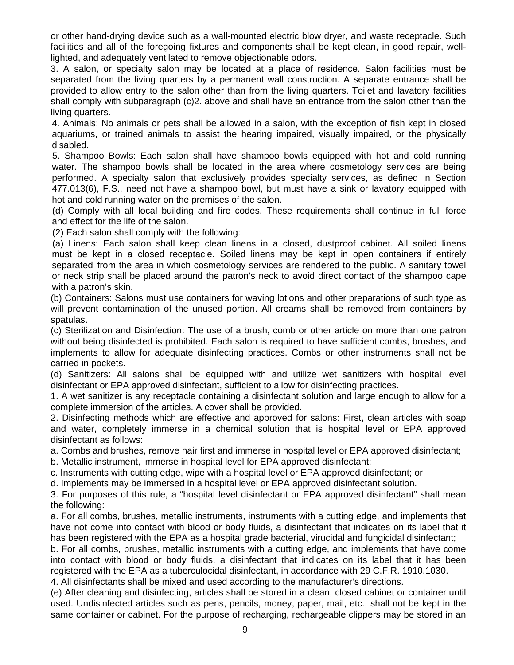or other hand-drying device such as a wall-mounted electric blow dryer, and waste receptacle. Such facilities and all of the foregoing fixtures and components shall be kept clean, in good repair, welllighted, and adequately ventilated to remove objectionable odors.

3. A salon, or specialty salon may be located at a place of residence. Salon facilities must be separated from the living quarters by a permanent wall construction. A separate entrance shall be provided to allow entry to the salon other than from the living quarters. Toilet and lavatory facilities shall comply with subparagraph (c)2. above and shall have an entrance from the salon other than the living quarters.

 4. Animals: No animals or pets shall be allowed in a salon, with the exception of fish kept in closed aquariums, or trained animals to assist the hearing impaired, visually impaired, or the physically disabled.

 5. Shampoo Bowls: Each salon shall have shampoo bowls equipped with hot and cold running water. The shampoo bowls shall be located in the area where cosmetology services are being performed. A specialty salon that exclusively provides specialty services, as defined in Section 477.013(6), F.S., need not have a shampoo bowl, but must have a sink or lavatory equipped with hot and cold running water on the premises of the salon.

 (d) Comply with all local building and fire codes. These requirements shall continue in full force and effect for the life of the salon.

(2) Each salon shall comply with the following:

 (a) Linens: Each salon shall keep clean linens in a closed, dustproof cabinet. All soiled linens must be kept in a closed receptacle. Soiled linens may be kept in open containers if entirely separated from the area in which cosmetology services are rendered to the public. A sanitary towel or neck strip shall be placed around the patron's neck to avoid direct contact of the shampoo cape with a patron's skin.

(b) Containers: Salons must use containers for waving lotions and other preparations of such type as will prevent contamination of the unused portion. All creams shall be removed from containers by spatulas.

(c) Sterilization and Disinfection: The use of a brush, comb or other article on more than one patron without being disinfected is prohibited. Each salon is required to have sufficient combs, brushes, and implements to allow for adequate disinfecting practices. Combs or other instruments shall not be carried in pockets.

(d) Sanitizers: All salons shall be equipped with and utilize wet sanitizers with hospital level disinfectant or EPA approved disinfectant, sufficient to allow for disinfecting practices.

1. A wet sanitizer is any receptacle containing a disinfectant solution and large enough to allow for a complete immersion of the articles. A cover shall be provided.

2. Disinfecting methods which are effective and approved for salons: First, clean articles with soap and water, completely immerse in a chemical solution that is hospital level or EPA approved disinfectant as follows:

a. Combs and brushes, remove hair first and immerse in hospital level or EPA approved disinfectant;

b. Metallic instrument, immerse in hospital level for EPA approved disinfectant;

c. Instruments with cutting edge, wipe with a hospital level or EPA approved disinfectant; or

d. Implements may be immersed in a hospital level or EPA approved disinfectant solution.

3. For purposes of this rule, a "hospital level disinfectant or EPA approved disinfectant" shall mean the following:

a. For all combs, brushes, metallic instruments, instruments with a cutting edge, and implements that have not come into contact with blood or body fluids, a disinfectant that indicates on its label that it has been registered with the EPA as a hospital grade bacterial, virucidal and fungicidal disinfectant;

b. For all combs, brushes, metallic instruments with a cutting edge, and implements that have come into contact with blood or body fluids, a disinfectant that indicates on its label that it has been registered with the EPA as a tuberculocidal disinfectant, in accordance with 29 C.F.R. 1910.1030.

4. All disinfectants shall be mixed and used according to the manufacturer's directions.

(e) After cleaning and disinfecting, articles shall be stored in a clean, closed cabinet or container until used. Undisinfected articles such as pens, pencils, money, paper, mail, etc., shall not be kept in the same container or cabinet. For the purpose of recharging, rechargeable clippers may be stored in an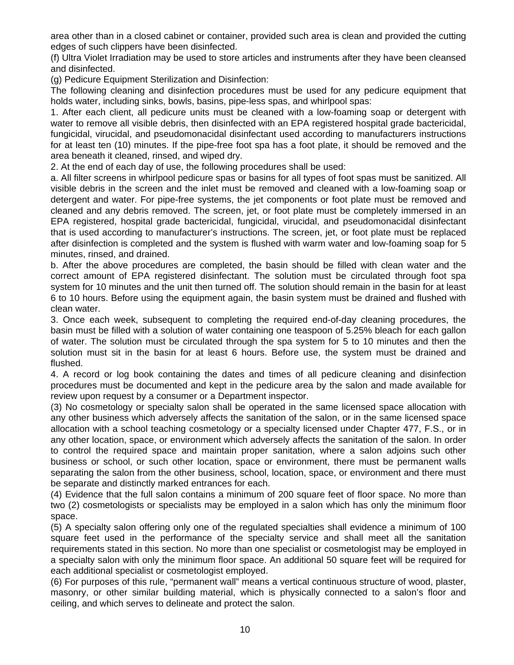area other than in a closed cabinet or container, provided such area is clean and provided the cutting edges of such clippers have been disinfected.

(f) Ultra Violet Irradiation may be used to store articles and instruments after they have been cleansed and disinfected.

(g) Pedicure Equipment Sterilization and Disinfection:

The following cleaning and disinfection procedures must be used for any pedicure equipment that holds water, including sinks, bowls, basins, pipe-less spas, and whirlpool spas:

1. After each client, all pedicure units must be cleaned with a low-foaming soap or detergent with water to remove all visible debris, then disinfected with an EPA registered hospital grade bactericidal, fungicidal, virucidal, and pseudomonacidal disinfectant used according to manufacturers instructions for at least ten (10) minutes. If the pipe-free foot spa has a foot plate, it should be removed and the area beneath it cleaned, rinsed, and wiped dry.

2. At the end of each day of use, the following procedures shall be used:

a. All filter screens in whirlpool pedicure spas or basins for all types of foot spas must be sanitized. All visible debris in the screen and the inlet must be removed and cleaned with a low-foaming soap or detergent and water. For pipe-free systems, the jet components or foot plate must be removed and cleaned and any debris removed. The screen, jet, or foot plate must be completely immersed in an EPA registered, hospital grade bactericidal, fungicidal, virucidal, and pseudomonacidal disinfectant that is used according to manufacturer's instructions. The screen, jet, or foot plate must be replaced after disinfection is completed and the system is flushed with warm water and low-foaming soap for 5 minutes, rinsed, and drained.

b. After the above procedures are completed, the basin should be filled with clean water and the correct amount of EPA registered disinfectant. The solution must be circulated through foot spa system for 10 minutes and the unit then turned off. The solution should remain in the basin for at least 6 to 10 hours. Before using the equipment again, the basin system must be drained and flushed with clean water.

3. Once each week, subsequent to completing the required end-of-day cleaning procedures, the basin must be filled with a solution of water containing one teaspoon of 5.25% bleach for each gallon of water. The solution must be circulated through the spa system for 5 to 10 minutes and then the solution must sit in the basin for at least 6 hours. Before use, the system must be drained and flushed.

4. A record or log book containing the dates and times of all pedicure cleaning and disinfection procedures must be documented and kept in the pedicure area by the salon and made available for review upon request by a consumer or a Department inspector.

(3) No cosmetology or specialty salon shall be operated in the same licensed space allocation with any other business which adversely affects the sanitation of the salon, or in the same licensed space allocation with a school teaching cosmetology or a specialty licensed under Chapter 477, F.S., or in any other location, space, or environment which adversely affects the sanitation of the salon. In order to control the required space and maintain proper sanitation, where a salon adjoins such other business or school, or such other location, space or environment, there must be permanent walls separating the salon from the other business, school, location, space, or environment and there must be separate and distinctly marked entrances for each.

(4) Evidence that the full salon contains a minimum of 200 square feet of floor space. No more than two (2) cosmetologists or specialists may be employed in a salon which has only the minimum floor space.

(5) A specialty salon offering only one of the regulated specialties shall evidence a minimum of 100 square feet used in the performance of the specialty service and shall meet all the sanitation requirements stated in this section. No more than one specialist or cosmetologist may be employed in a specialty salon with only the minimum floor space. An additional 50 square feet will be required for each additional specialist or cosmetologist employed.

(6) For purposes of this rule, "permanent wall" means a vertical continuous structure of wood, plaster, masonry, or other similar building material, which is physically connected to a salon's floor and ceiling, and which serves to delineate and protect the salon.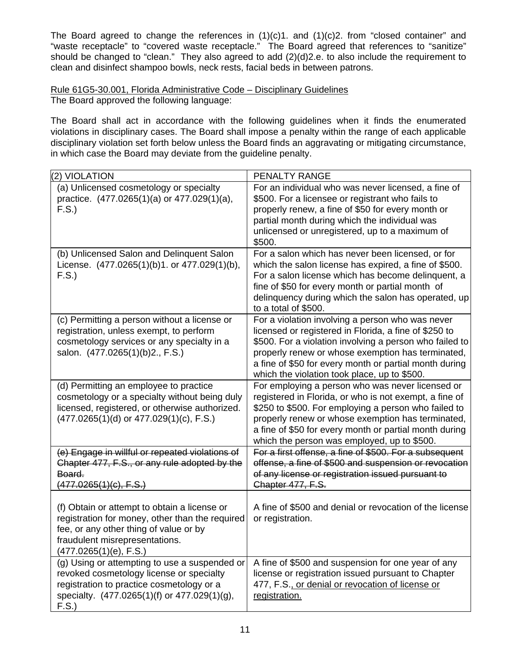The Board agreed to change the references in (1)(c)1. and (1)(c)2. from "closed container" and "waste receptacle" to "covered waste receptacle." The Board agreed that references to "sanitize" should be changed to "clean." They also agreed to add (2)(d)2.e. to also include the requirement to clean and disinfect shampoo bowls, neck rests, facial beds in between patrons.

## Rule 61G5-30.001, Florida Administrative Code – Disciplinary Guidelines The Board approved the following language:

The Board shall act in accordance with the following guidelines when it finds the enumerated violations in disciplinary cases. The Board shall impose a penalty within the range of each applicable disciplinary violation set forth below unless the Board finds an aggravating or mitigating circumstance, in which case the Board may deviate from the guideline penalty.

| (2) VIOLATION                                                                                                                                                                                         | PENALTY RANGE                                                                                                                                                                                                                                                                                                                       |
|-------------------------------------------------------------------------------------------------------------------------------------------------------------------------------------------------------|-------------------------------------------------------------------------------------------------------------------------------------------------------------------------------------------------------------------------------------------------------------------------------------------------------------------------------------|
| (a) Unlicensed cosmetology or specialty<br>practice. (477.0265(1)(a) or 477.029(1)(a),<br>F.S.                                                                                                        | For an individual who was never licensed, a fine of<br>\$500. For a licensee or registrant who fails to<br>properly renew, a fine of \$50 for every month or<br>partial month during which the individual was<br>unlicensed or unregistered, up to a maximum of<br>\$500.                                                           |
| (b) Unlicensed Salon and Delinquent Salon<br>License. (477.0265(1)(b)1. or 477.029(1)(b),<br>F.S.                                                                                                     | For a salon which has never been licensed, or for<br>which the salon license has expired, a fine of \$500.<br>For a salon license which has become delinquent, a<br>fine of \$50 for every month or partial month of<br>delinquency during which the salon has operated, up<br>to a total of \$500.                                 |
| (c) Permitting a person without a license or<br>registration, unless exempt, to perform<br>cosmetology services or any specialty in a<br>salon. (477.0265(1)(b)2., F.S.)                              | For a violation involving a person who was never<br>licensed or registered in Florida, a fine of \$250 to<br>\$500. For a violation involving a person who failed to<br>properly renew or whose exemption has terminated,<br>a fine of \$50 for every month or partial month during<br>which the violation took place, up to \$500. |
| (d) Permitting an employee to practice<br>cosmetology or a specialty without being duly<br>licensed, registered, or otherwise authorized.<br>$(477.0265(1)(d)$ or $477.029(1)(c)$ , F.S.)             | For employing a person who was never licensed or<br>registered in Florida, or who is not exempt, a fine of<br>\$250 to \$500. For employing a person who failed to<br>properly renew or whose exemption has terminated,<br>a fine of \$50 for every month or partial month during<br>which the person was employed, up to \$500.    |
| (e) Engage in willful or repeated violations of<br>Chapter 477, F.S., or any rule adopted by the<br>Board.<br>(477.0265(1)(c), F.S.)                                                                  | For a first offense, a fine of \$500. For a subsequent<br>offense, a fine of \$500 and suspension or revocation<br>of any license or registration issued pursuant to<br>Chapter 477, F.S.                                                                                                                                           |
| (f) Obtain or attempt to obtain a license or<br>registration for money, other than the required<br>fee, or any other thing of value or by<br>fraudulent misrepresentations.<br>(477.0265(1)(e), F.S.) | A fine of \$500 and denial or revocation of the license<br>or registration.                                                                                                                                                                                                                                                         |
| (g) Using or attempting to use a suspended or<br>revoked cosmetology license or specialty<br>registration to practice cosmetology or a<br>specialty. (477.0265(1)(f) or 477.029(1)(g),<br>F.S.        | A fine of \$500 and suspension for one year of any<br>license or registration issued pursuant to Chapter<br>477, F.S., or denial or revocation of license or<br>registration.                                                                                                                                                       |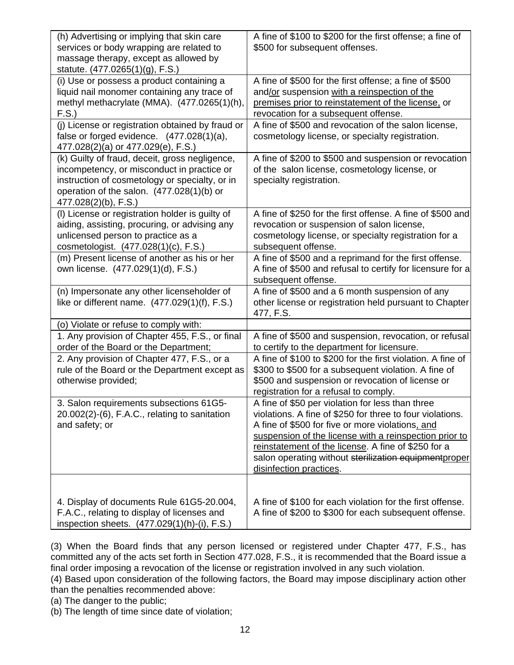| (h) Advertising or implying that skin care<br>services or body wrapping are related to<br>massage therapy, except as allowed by<br>statute. (477.0265(1)(g), F.S.)                                                  | A fine of \$100 to \$200 for the first offense; a fine of<br>\$500 for subsequent offenses.                                                                                                                                                                                                                                                                            |
|---------------------------------------------------------------------------------------------------------------------------------------------------------------------------------------------------------------------|------------------------------------------------------------------------------------------------------------------------------------------------------------------------------------------------------------------------------------------------------------------------------------------------------------------------------------------------------------------------|
| (i) Use or possess a product containing a<br>liquid nail monomer containing any trace of<br>methyl methacrylate (MMA). (477.0265(1)(h),<br>F.S.                                                                     | A fine of \$500 for the first offense; a fine of \$500<br>and/or suspension with a reinspection of the<br>premises prior to reinstatement of the license, or<br>revocation for a subsequent offense.                                                                                                                                                                   |
| (j) License or registration obtained by fraud or<br>false or forged evidence. $(477.028(1)(a))$ ,<br>477.028(2)(a) or 477.029(e), F.S.)                                                                             | A fine of \$500 and revocation of the salon license,<br>cosmetology license, or specialty registration.                                                                                                                                                                                                                                                                |
| (k) Guilty of fraud, deceit, gross negligence,<br>incompetency, or misconduct in practice or<br>instruction of cosmetology or specialty, or in<br>operation of the salon. (477.028(1)(b) or<br>477.028(2)(b), F.S.) | A fine of \$200 to \$500 and suspension or revocation<br>of the salon license, cosmetology license, or<br>specialty registration.                                                                                                                                                                                                                                      |
| (I) License or registration holder is guilty of<br>aiding, assisting, procuring, or advising any<br>unlicensed person to practice as a<br>cosmetologist. (477.028(1)(c), F.S.)                                      | A fine of \$250 for the first offense. A fine of \$500 and<br>revocation or suspension of salon license,<br>cosmetology license, or specialty registration for a<br>subsequent offense.                                                                                                                                                                                |
| (m) Present license of another as his or her<br>own license. (477.029(1)(d), F.S.)                                                                                                                                  | A fine of \$500 and a reprimand for the first offense.<br>A fine of \$500 and refusal to certify for licensure for a<br>subsequent offense.                                                                                                                                                                                                                            |
| (n) Impersonate any other licenseholder of<br>like or different name. $(477.029(1)(f), F.S.)$                                                                                                                       | A fine of \$500 and a 6 month suspension of any<br>other license or registration held pursuant to Chapter<br>477, F.S.                                                                                                                                                                                                                                                 |
| (o) Violate or refuse to comply with:                                                                                                                                                                               |                                                                                                                                                                                                                                                                                                                                                                        |
| 1. Any provision of Chapter 455, F.S., or final<br>order of the Board or the Department;                                                                                                                            | A fine of \$500 and suspension, revocation, or refusal<br>to certify to the department for licensure.                                                                                                                                                                                                                                                                  |
| 2. Any provision of Chapter 477, F.S., or a<br>rule of the Board or the Department except as<br>otherwise provided;                                                                                                 | A fine of \$100 to \$200 for the first violation. A fine of<br>\$300 to \$500 for a subsequent violation. A fine of<br>\$500 and suspension or revocation of license or<br>registration for a refusal to comply.                                                                                                                                                       |
| 3. Salon requirements subsections 61G5-<br>20.002(2)-(6), F.A.C., relating to sanitation<br>and safety; or                                                                                                          | A fine of \$50 per violation for less than three<br>violations. A fine of \$250 for three to four violations.<br>A fine of \$500 for five or more violations, and<br>suspension of the license with a reinspection prior to<br>reinstatement of the license. A fine of \$250 for a<br>salon operating without sterilization equipmentproper<br>disinfection practices. |
| 4. Display of documents Rule 61G5-20.004,<br>F.A.C., relating to display of licenses and<br>inspection sheets. (477.029(1)(h)-(i), F.S.)                                                                            | A fine of \$100 for each violation for the first offense.<br>A fine of \$200 to \$300 for each subsequent offense.                                                                                                                                                                                                                                                     |

(3) When the Board finds that any person licensed or registered under Chapter 477, F.S., has committed any of the acts set forth in Section 477.028, F.S., it is recommended that the Board issue a final order imposing a revocation of the license or registration involved in any such violation.

(4) Based upon consideration of the following factors, the Board may impose disciplinary action other than the penalties recommended above:

(a) The danger to the public;

(b) The length of time since date of violation;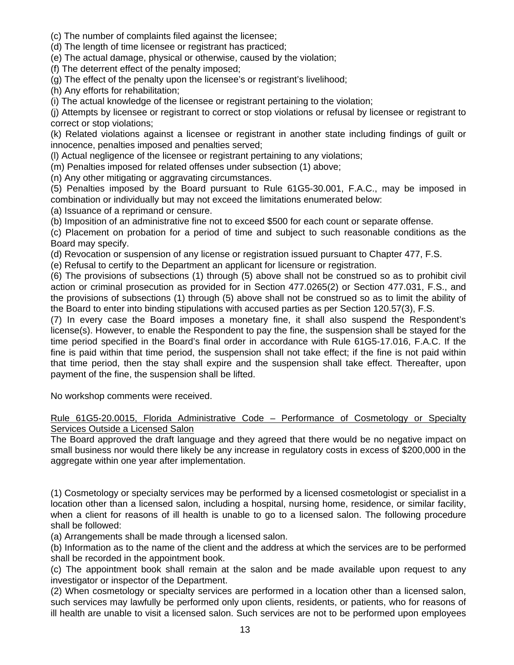- (c) The number of complaints filed against the licensee;
- (d) The length of time licensee or registrant has practiced;
- (e) The actual damage, physical or otherwise, caused by the violation;

(f) The deterrent effect of the penalty imposed;

(g) The effect of the penalty upon the licensee's or registrant's livelihood;

(h) Any efforts for rehabilitation;

(i) The actual knowledge of the licensee or registrant pertaining to the violation;

(j) Attempts by licensee or registrant to correct or stop violations or refusal by licensee or registrant to correct or stop violations;

(k) Related violations against a licensee or registrant in another state including findings of guilt or innocence, penalties imposed and penalties served;

(l) Actual negligence of the licensee or registrant pertaining to any violations;

(m) Penalties imposed for related offenses under subsection (1) above;

(n) Any other mitigating or aggravating circumstances.

(5) Penalties imposed by the Board pursuant to Rule 61G5-30.001, F.A.C., may be imposed in combination or individually but may not exceed the limitations enumerated below:

(a) Issuance of a reprimand or censure.

(b) Imposition of an administrative fine not to exceed \$500 for each count or separate offense.

(c) Placement on probation for a period of time and subject to such reasonable conditions as the Board may specify.

(d) Revocation or suspension of any license or registration issued pursuant to Chapter 477, F.S.

(e) Refusal to certify to the Department an applicant for licensure or registration.

(6) The provisions of subsections (1) through (5) above shall not be construed so as to prohibit civil action or criminal prosecution as provided for in Section 477.0265(2) or Section 477.031, F.S., and the provisions of subsections (1) through (5) above shall not be construed so as to limit the ability of the Board to enter into binding stipulations with accused parties as per Section 120.57(3), F.S.

(7) In every case the Board imposes a monetary fine, it shall also suspend the Respondent's license(s). However, to enable the Respondent to pay the fine, the suspension shall be stayed for the time period specified in the Board's final order in accordance with Rule 61G5-17.016, F.A.C. If the fine is paid within that time period, the suspension shall not take effect; if the fine is not paid within that time period, then the stay shall expire and the suspension shall take effect. Thereafter, upon payment of the fine, the suspension shall be lifted.

No workshop comments were received.

## Rule 61G5-20.0015, Florida Administrative Code – Performance of Cosmetology or Specialty Services Outside a Licensed Salon

The Board approved the draft language and they agreed that there would be no negative impact on small business nor would there likely be any increase in regulatory costs in excess of \$200,000 in the aggregate within one year after implementation.

(1) Cosmetology or specialty services may be performed by a licensed cosmetologist or specialist in a location other than a licensed salon, including a hospital, nursing home, residence, or similar facility, when a client for reasons of ill health is unable to go to a licensed salon. The following procedure shall be followed:

(a) Arrangements shall be made through a licensed salon.

(b) Information as to the name of the client and the address at which the services are to be performed shall be recorded in the appointment book.

(c) The appointment book shall remain at the salon and be made available upon request to any investigator or inspector of the Department.

(2) When cosmetology or specialty services are performed in a location other than a licensed salon, such services may lawfully be performed only upon clients, residents, or patients, who for reasons of ill health are unable to visit a licensed salon. Such services are not to be performed upon employees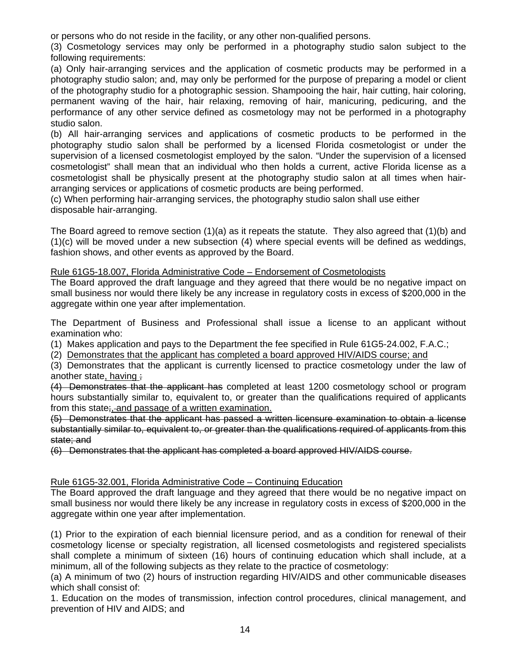or persons who do not reside in the facility, or any other non-qualified persons.

(3) Cosmetology services may only be performed in a photography studio salon subject to the following requirements:

(a) Only hair-arranging services and the application of cosmetic products may be performed in a photography studio salon; and, may only be performed for the purpose of preparing a model or client of the photography studio for a photographic session. Shampooing the hair, hair cutting, hair coloring, permanent waving of the hair, hair relaxing, removing of hair, manicuring, pedicuring, and the performance of any other service defined as cosmetology may not be performed in a photography studio salon.

(b) All hair-arranging services and applications of cosmetic products to be performed in the photography studio salon shall be performed by a licensed Florida cosmetologist or under the supervision of a licensed cosmetologist employed by the salon. "Under the supervision of a licensed cosmetologist" shall mean that an individual who then holds a current, active Florida license as a cosmetologist shall be physically present at the photography studio salon at all times when hairarranging services or applications of cosmetic products are being performed.

(c) When performing hair-arranging services, the photography studio salon shall use either disposable hair-arranging.

The Board agreed to remove section (1)(a) as it repeats the statute. They also agreed that (1)(b) and (1)(c) will be moved under a new subsection (4) where special events will be defined as weddings, fashion shows, and other events as approved by the Board.

## Rule 61G5-18.007, Florida Administrative Code – Endorsement of Cosmetologists

The Board approved the draft language and they agreed that there would be no negative impact on small business nor would there likely be any increase in regulatory costs in excess of \$200,000 in the aggregate within one year after implementation.

The Department of Business and Professional shall issue a license to an applicant without examination who:

(1) Makes application and pays to the Department the fee specified in Rule 61G5-24.002, F.A.C.;

(2) Demonstrates that the applicant has completed a board approved HIV/AIDS course; and

(3) Demonstrates that the applicant is currently licensed to practice cosmetology under the law of another state, having ;

(4) Demonstrates that the applicant has completed at least 1200 cosmetology school or program hours substantially similar to, equivalent to, or greater than the qualifications required of applicants from this state;, and passage of a written examination.

(5) Demonstrates that the applicant has passed a written licensure examination to obtain a license substantially similar to, equivalent to, or greater than the qualifications required of applicants from this state; and

(6) Demonstrates that the applicant has completed a board approved HIV/AIDS course.

## Rule 61G5-32.001, Florida Administrative Code – Continuing Education

The Board approved the draft language and they agreed that there would be no negative impact on small business nor would there likely be any increase in regulatory costs in excess of \$200,000 in the aggregate within one year after implementation.

(1) Prior to the expiration of each biennial licensure period, and as a condition for renewal of their cosmetology license or specialty registration, all licensed cosmetologists and registered specialists shall complete a minimum of sixteen (16) hours of continuing education which shall include, at a minimum, all of the following subjects as they relate to the practice of cosmetology:

(a) A minimum of two (2) hours of instruction regarding HIV/AIDS and other communicable diseases which shall consist of:

1. Education on the modes of transmission, infection control procedures, clinical management, and prevention of HIV and AIDS; and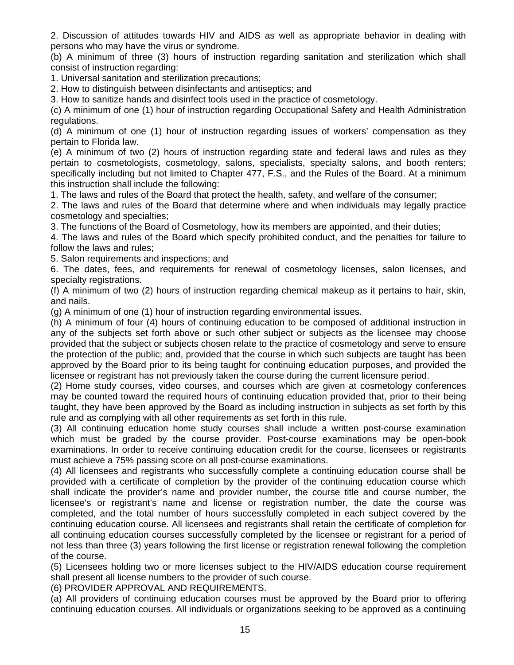2. Discussion of attitudes towards HIV and AIDS as well as appropriate behavior in dealing with persons who may have the virus or syndrome.

(b) A minimum of three (3) hours of instruction regarding sanitation and sterilization which shall consist of instruction regarding:

1. Universal sanitation and sterilization precautions;

2. How to distinguish between disinfectants and antiseptics; and

3. How to sanitize hands and disinfect tools used in the practice of cosmetology.

(c) A minimum of one (1) hour of instruction regarding Occupational Safety and Health Administration regulations.

(d) A minimum of one (1) hour of instruction regarding issues of workers' compensation as they pertain to Florida law.

(e) A minimum of two (2) hours of instruction regarding state and federal laws and rules as they pertain to cosmetologists, cosmetology, salons, specialists, specialty salons, and booth renters; specifically including but not limited to Chapter 477, F.S., and the Rules of the Board. At a minimum this instruction shall include the following:

1. The laws and rules of the Board that protect the health, safety, and welfare of the consumer;

2. The laws and rules of the Board that determine where and when individuals may legally practice cosmetology and specialties;

3. The functions of the Board of Cosmetology, how its members are appointed, and their duties;

4. The laws and rules of the Board which specify prohibited conduct, and the penalties for failure to follow the laws and rules;

5. Salon requirements and inspections; and

6. The dates, fees, and requirements for renewal of cosmetology licenses, salon licenses, and specialty registrations.

(f) A minimum of two (2) hours of instruction regarding chemical makeup as it pertains to hair, skin, and nails.

(g) A minimum of one (1) hour of instruction regarding environmental issues.

(h) A minimum of four (4) hours of continuing education to be composed of additional instruction in any of the subjects set forth above or such other subject or subjects as the licensee may choose provided that the subject or subjects chosen relate to the practice of cosmetology and serve to ensure the protection of the public; and, provided that the course in which such subjects are taught has been approved by the Board prior to its being taught for continuing education purposes, and provided the licensee or registrant has not previously taken the course during the current licensure period.

(2) Home study courses, video courses, and courses which are given at cosmetology conferences may be counted toward the required hours of continuing education provided that, prior to their being taught, they have been approved by the Board as including instruction in subjects as set forth by this rule and as complying with all other requirements as set forth in this rule.

(3) All continuing education home study courses shall include a written post-course examination which must be graded by the course provider. Post-course examinations may be open-book examinations. In order to receive continuing education credit for the course, licensees or registrants must achieve a 75% passing score on all post-course examinations.

(4) All licensees and registrants who successfully complete a continuing education course shall be provided with a certificate of completion by the provider of the continuing education course which shall indicate the provider's name and provider number, the course title and course number, the licensee's or registrant's name and license or registration number, the date the course was completed, and the total number of hours successfully completed in each subject covered by the continuing education course. All licensees and registrants shall retain the certificate of completion for all continuing education courses successfully completed by the licensee or registrant for a period of not less than three (3) years following the first license or registration renewal following the completion of the course.

(5) Licensees holding two or more licenses subject to the HIV/AIDS education course requirement shall present all license numbers to the provider of such course.

(6) PROVIDER APPROVAL AND REQUIREMENTS.

(a) All providers of continuing education courses must be approved by the Board prior to offering continuing education courses. All individuals or organizations seeking to be approved as a continuing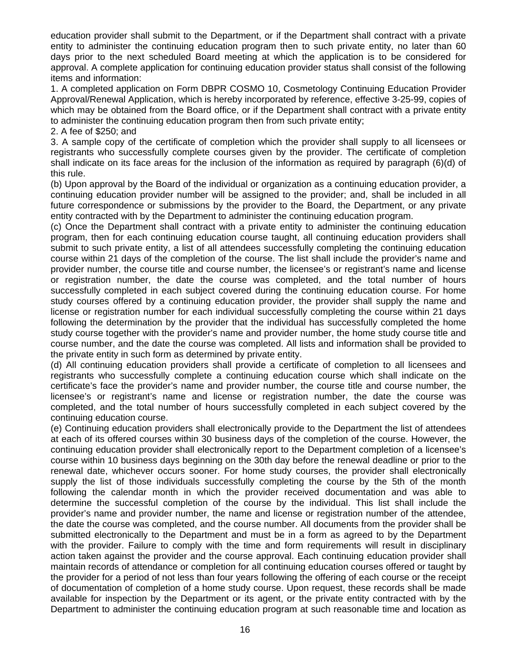education provider shall submit to the Department, or if the Department shall contract with a private entity to administer the continuing education program then to such private entity, no later than 60 days prior to the next scheduled Board meeting at which the application is to be considered for approval. A complete application for continuing education provider status shall consist of the following items and information:

1. A completed application on Form DBPR COSMO 10, Cosmetology Continuing Education Provider Approval/Renewal Application, which is hereby incorporated by reference, effective 3-25-99, copies of which may be obtained from the Board office, or if the Department shall contract with a private entity to administer the continuing education program then from such private entity;

2. A fee of \$250; and

3. A sample copy of the certificate of completion which the provider shall supply to all licensees or registrants who successfully complete courses given by the provider. The certificate of completion shall indicate on its face areas for the inclusion of the information as required by paragraph (6)(d) of this rule.

(b) Upon approval by the Board of the individual or organization as a continuing education provider, a continuing education provider number will be assigned to the provider; and, shall be included in all future correspondence or submissions by the provider to the Board, the Department, or any private entity contracted with by the Department to administer the continuing education program.

(c) Once the Department shall contract with a private entity to administer the continuing education program, then for each continuing education course taught, all continuing education providers shall submit to such private entity, a list of all attendees successfully completing the continuing education course within 21 days of the completion of the course. The list shall include the provider's name and provider number, the course title and course number, the licensee's or registrant's name and license or registration number, the date the course was completed, and the total number of hours successfully completed in each subject covered during the continuing education course. For home study courses offered by a continuing education provider, the provider shall supply the name and license or registration number for each individual successfully completing the course within 21 days following the determination by the provider that the individual has successfully completed the home study course together with the provider's name and provider number, the home study course title and course number, and the date the course was completed. All lists and information shall be provided to the private entity in such form as determined by private entity.

(d) All continuing education providers shall provide a certificate of completion to all licensees and registrants who successfully complete a continuing education course which shall indicate on the certificate's face the provider's name and provider number, the course title and course number, the licensee's or registrant's name and license or registration number, the date the course was completed, and the total number of hours successfully completed in each subject covered by the continuing education course.

(e) Continuing education providers shall electronically provide to the Department the list of attendees at each of its offered courses within 30 business days of the completion of the course. However, the continuing education provider shall electronically report to the Department completion of a licensee's course within 10 business days beginning on the 30th day before the renewal deadline or prior to the renewal date, whichever occurs sooner. For home study courses, the provider shall electronically supply the list of those individuals successfully completing the course by the 5th of the month following the calendar month in which the provider received documentation and was able to determine the successful completion of the course by the individual. This list shall include the provider's name and provider number, the name and license or registration number of the attendee, the date the course was completed, and the course number. All documents from the provider shall be submitted electronically to the Department and must be in a form as agreed to by the Department with the provider. Failure to comply with the time and form requirements will result in disciplinary action taken against the provider and the course approval. Each continuing education provider shall maintain records of attendance or completion for all continuing education courses offered or taught by the provider for a period of not less than four years following the offering of each course or the receipt of documentation of completion of a home study course. Upon request, these records shall be made available for inspection by the Department or its agent, or the private entity contracted with by the Department to administer the continuing education program at such reasonable time and location as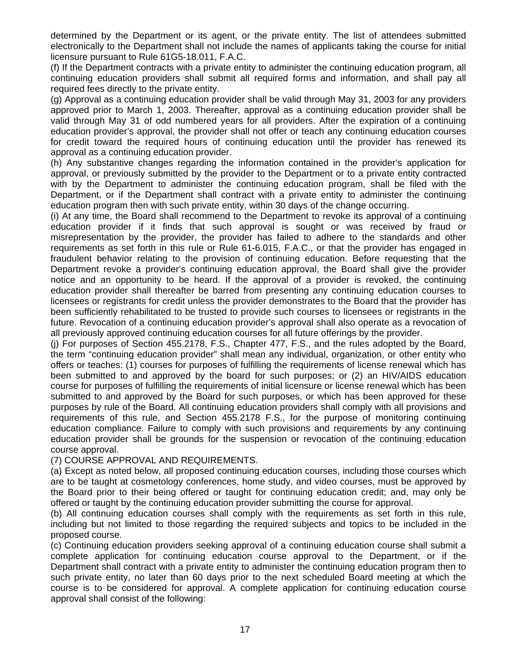determined by the Department or its agent, or the private entity. The list of attendees submitted electronically to the Department shall not include the names of applicants taking the course for initial licensure pursuant to Rule 61G5-18.011, F.A.C.

(f) If the Department contracts with a private entity to administer the continuing education program, all continuing education providers shall submit all required forms and information, and shall pay all required fees directly to the private entity.

(g) Approval as a continuing education provider shall be valid through May 31, 2003 for any providers approved prior to March 1, 2003. Thereafter, approval as a continuing education provider shall be valid through May 31 of odd numbered years for all providers. After the expiration of a continuing education provider's approval, the provider shall not offer or teach any continuing education courses for credit toward the required hours of continuing education until the provider has renewed its approval as a continuing education provider.

(h) Any substantive changes regarding the information contained in the provider's application for approval, or previously submitted by the provider to the Department or to a private entity contracted with by the Department to administer the continuing education program, shall be filed with the Department, or if the Department shall contract with a private entity to administer the continuing education program then with such private entity, within 30 days of the change occurring.

(i) At any time, the Board shall recommend to the Department to revoke its approval of a continuing education provider if it finds that such approval is sought or was received by fraud or misrepresentation by the provider, the provider has failed to adhere to the standards and other requirements as set forth in this rule or Rule 61-6.015, F.A.C., or that the provider has engaged in fraudulent behavior relating to the provision of continuing education. Before requesting that the Department revoke a provider's continuing education approval, the Board shall give the provider notice and an opportunity to be heard. If the approval of a provider is revoked, the continuing education provider shall thereafter be barred from presenting any continuing education courses to licensees or registrants for credit unless the provider demonstrates to the Board that the provider has been sufficiently rehabilitated to be trusted to provide such courses to licensees or registrants in the future. Revocation of a continuing education provider's approval shall also operate as a revocation of all previously approved continuing education courses for all future offerings by the provider.

(j) For purposes of Section 455.2178, F.S., Chapter 477, F.S., and the rules adopted by the Board, the term "continuing education provider" shall mean any individual, organization, or other entity who offers or teaches: (1) courses for purposes of fulfilling the requirements of license renewal which has been submitted to and approved by the board for such purposes; or (2) an HIV/AIDS education course for purposes of fulfilling the requirements of initial licensure or license renewal which has been submitted to and approved by the Board for such purposes, or which has been approved for these purposes by rule of the Board. All continuing education providers shall comply with all provisions and requirements of this rule, and Section 455.2178 F.S., for the purpose of monitoring continuing education compliance. Failure to comply with such provisions and requirements by any continuing education provider shall be grounds for the suspension or revocation of the continuing education course approval.

(7) COURSE APPROVAL AND REQUIREMENTS.

(a) Except as noted below, all proposed continuing education courses, including those courses which are to be taught at cosmetology conferences, home study, and video courses, must be approved by the Board prior to their being offered or taught for continuing education credit; and, may only be offered or taught by the continuing education provider submitting the course for approval.

(b) All continuing education courses shall comply with the requirements as set forth in this rule, including but not limited to those regarding the required subjects and topics to be included in the proposed course.

(c) Continuing education providers seeking approval of a continuing education course shall submit a complete application for continuing education course approval to the Department, or if the Department shall contract with a private entity to administer the continuing education program then to such private entity, no later than 60 days prior to the next scheduled Board meeting at which the course is to be considered for approval. A complete application for continuing education course approval shall consist of the following: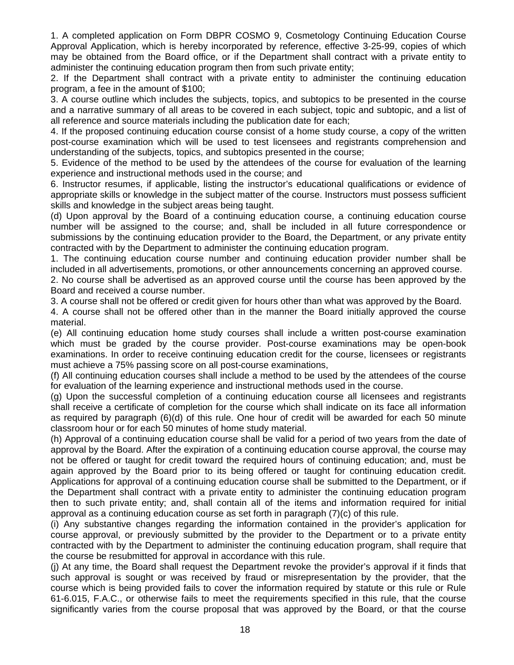1. A completed application on Form DBPR COSMO 9, Cosmetology Continuing Education Course Approval Application, which is hereby incorporated by reference, effective 3-25-99, copies of which may be obtained from the Board office, or if the Department shall contract with a private entity to administer the continuing education program then from such private entity;

2. If the Department shall contract with a private entity to administer the continuing education program, a fee in the amount of \$100;

3. A course outline which includes the subjects, topics, and subtopics to be presented in the course and a narrative summary of all areas to be covered in each subject, topic and subtopic, and a list of all reference and source materials including the publication date for each;

4. If the proposed continuing education course consist of a home study course, a copy of the written post-course examination which will be used to test licensees and registrants comprehension and understanding of the subjects, topics, and subtopics presented in the course;

5. Evidence of the method to be used by the attendees of the course for evaluation of the learning experience and instructional methods used in the course; and

6. Instructor resumes, if applicable, listing the instructor's educational qualifications or evidence of appropriate skills or knowledge in the subject matter of the course. Instructors must possess sufficient skills and knowledge in the subject areas being taught.

(d) Upon approval by the Board of a continuing education course, a continuing education course number will be assigned to the course; and, shall be included in all future correspondence or submissions by the continuing education provider to the Board, the Department, or any private entity contracted with by the Department to administer the continuing education program.

1. The continuing education course number and continuing education provider number shall be included in all advertisements, promotions, or other announcements concerning an approved course.

2. No course shall be advertised as an approved course until the course has been approved by the Board and received a course number.

3. A course shall not be offered or credit given for hours other than what was approved by the Board.

4. A course shall not be offered other than in the manner the Board initially approved the course material.

(e) All continuing education home study courses shall include a written post-course examination which must be graded by the course provider. Post-course examinations may be open-book examinations. In order to receive continuing education credit for the course, licensees or registrants must achieve a 75% passing score on all post-course examinations,

(f) All continuing education courses shall include a method to be used by the attendees of the course for evaluation of the learning experience and instructional methods used in the course.

(g) Upon the successful completion of a continuing education course all licensees and registrants shall receive a certificate of completion for the course which shall indicate on its face all information as required by paragraph (6)(d) of this rule. One hour of credit will be awarded for each 50 minute classroom hour or for each 50 minutes of home study material.

(h) Approval of a continuing education course shall be valid for a period of two years from the date of approval by the Board. After the expiration of a continuing education course approval, the course may not be offered or taught for credit toward the required hours of continuing education; and, must be again approved by the Board prior to its being offered or taught for continuing education credit. Applications for approval of a continuing education course shall be submitted to the Department, or if the Department shall contract with a private entity to administer the continuing education program then to such private entity; and, shall contain all of the items and information required for initial approval as a continuing education course as set forth in paragraph (7)(c) of this rule.

(i) Any substantive changes regarding the information contained in the provider's application for course approval, or previously submitted by the provider to the Department or to a private entity contracted with by the Department to administer the continuing education program, shall require that the course be resubmitted for approval in accordance with this rule.

(j) At any time, the Board shall request the Department revoke the provider's approval if it finds that such approval is sought or was received by fraud or misrepresentation by the provider, that the course which is being provided fails to cover the information required by statute or this rule or Rule 61-6.015, F.A.C., or otherwise fails to meet the requirements specified in this rule, that the course significantly varies from the course proposal that was approved by the Board, or that the course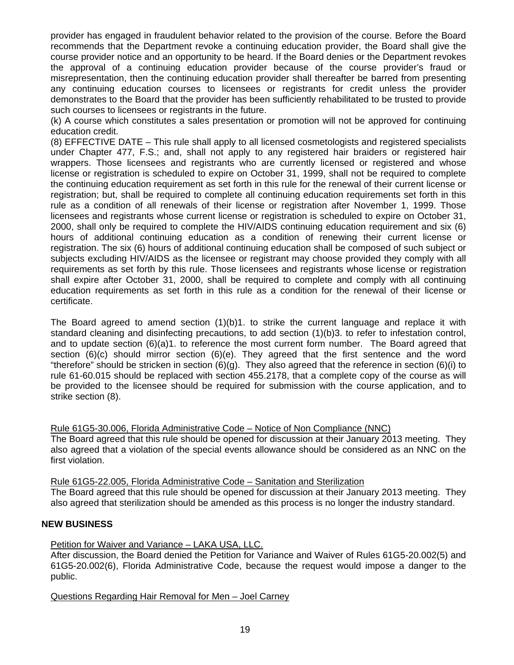provider has engaged in fraudulent behavior related to the provision of the course. Before the Board recommends that the Department revoke a continuing education provider, the Board shall give the course provider notice and an opportunity to be heard. If the Board denies or the Department revokes the approval of a continuing education provider because of the course provider's fraud or misrepresentation, then the continuing education provider shall thereafter be barred from presenting any continuing education courses to licensees or registrants for credit unless the provider demonstrates to the Board that the provider has been sufficiently rehabilitated to be trusted to provide such courses to licensees or registrants in the future.

(k) A course which constitutes a sales presentation or promotion will not be approved for continuing education credit.

(8) EFFECTIVE DATE – This rule shall apply to all licensed cosmetologists and registered specialists under Chapter 477, F.S.; and, shall not apply to any registered hair braiders or registered hair wrappers. Those licensees and registrants who are currently licensed or registered and whose license or registration is scheduled to expire on October 31, 1999, shall not be required to complete the continuing education requirement as set forth in this rule for the renewal of their current license or registration; but, shall be required to complete all continuing education requirements set forth in this rule as a condition of all renewals of their license or registration after November 1, 1999. Those licensees and registrants whose current license or registration is scheduled to expire on October 31, 2000, shall only be required to complete the HIV/AIDS continuing education requirement and six (6) hours of additional continuing education as a condition of renewing their current license or registration. The six (6) hours of additional continuing education shall be composed of such subject or subjects excluding HIV/AIDS as the licensee or registrant may choose provided they comply with all requirements as set forth by this rule. Those licensees and registrants whose license or registration shall expire after October 31, 2000, shall be required to complete and comply with all continuing education requirements as set forth in this rule as a condition for the renewal of their license or certificate.

The Board agreed to amend section (1)(b)1. to strike the current language and replace it with standard cleaning and disinfecting precautions, to add section (1)(b)3. to refer to infestation control, and to update section (6)(a)1. to reference the most current form number. The Board agreed that section (6)(c) should mirror section (6)(e). They agreed that the first sentence and the word "therefore" should be stricken in section  $(6)(g)$ . They also agreed that the reference in section  $(6)(i)$  to rule 61-60.015 should be replaced with section 455.2178, that a complete copy of the course as will be provided to the licensee should be required for submission with the course application, and to strike section (8).

Rule 61G5-30.006, Florida Administrative Code – Notice of Non Compliance (NNC)

The Board agreed that this rule should be opened for discussion at their January 2013 meeting. They also agreed that a violation of the special events allowance should be considered as an NNC on the first violation.

Rule 61G5-22.005, Florida Administrative Code – Sanitation and Sterilization The Board agreed that this rule should be opened for discussion at their January 2013 meeting. They also agreed that sterilization should be amended as this process is no longer the industry standard.

## **NEW BUSINESS**

## Petition for Waiver and Variance - LAKA USA, LLC.

After discussion, the Board denied the Petition for Variance and Waiver of Rules 61G5-20.002(5) and 61G5-20.002(6), Florida Administrative Code, because the request would impose a danger to the public.

Questions Regarding Hair Removal for Men – Joel Carney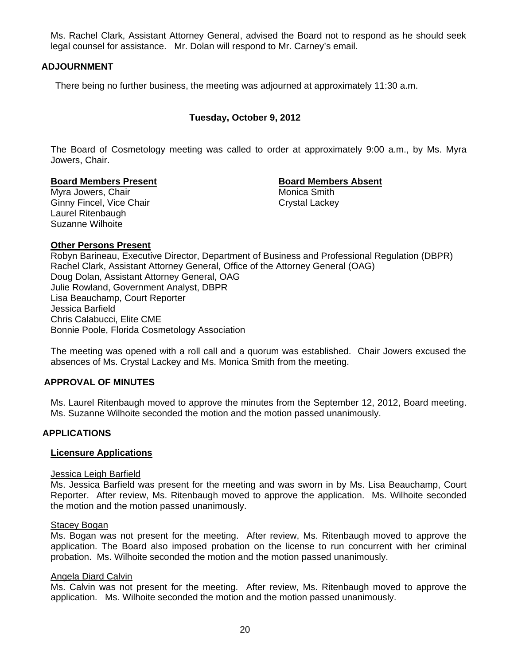Ms. Rachel Clark, Assistant Attorney General, advised the Board not to respond as he should seek legal counsel for assistance. Mr. Dolan will respond to Mr. Carney's email.

## **ADJOURNMENT**

There being no further business, the meeting was adjourned at approximately 11:30 a.m.

## **Tuesday, October 9, 2012**

The Board of Cosmetology meeting was called to order at approximately 9:00 a.m., by Ms. Myra Jowers, Chair.

#### **Board Members Present Communist Board Members Absent**

Myra Jowers, Chair **Music America Smith** Monica Smith Ginny Fincel, Vice Chair Chair Crystal Lackey Laurel Ritenbaugh Suzanne Wilhoite

## **Other Persons Present**

Robyn Barineau, Executive Director, Department of Business and Professional Regulation (DBPR) Rachel Clark, Assistant Attorney General, Office of the Attorney General (OAG) Doug Dolan, Assistant Attorney General, OAG Julie Rowland, Government Analyst, DBPR Lisa Beauchamp, Court Reporter Jessica Barfield Chris Calabucci, Elite CME Bonnie Poole, Florida Cosmetology Association

The meeting was opened with a roll call and a quorum was established. Chair Jowers excused the absences of Ms. Crystal Lackey and Ms. Monica Smith from the meeting.

#### **APPROVAL OF MINUTES**

Ms. Laurel Ritenbaugh moved to approve the minutes from the September 12, 2012, Board meeting. Ms. Suzanne Wilhoite seconded the motion and the motion passed unanimously.

#### **APPLICATIONS**

### **Licensure Applications**

#### Jessica Leigh Barfield

Ms. Jessica Barfield was present for the meeting and was sworn in by Ms. Lisa Beauchamp, Court Reporter. After review, Ms. Ritenbaugh moved to approve the application. Ms. Wilhoite seconded the motion and the motion passed unanimously.

#### Stacey Bogan

Ms. Bogan was not present for the meeting. After review, Ms. Ritenbaugh moved to approve the application. The Board also imposed probation on the license to run concurrent with her criminal probation. Ms. Wilhoite seconded the motion and the motion passed unanimously.

#### Angela Diard Calvin

Ms. Calvin was not present for the meeting. After review, Ms. Ritenbaugh moved to approve the application. Ms. Wilhoite seconded the motion and the motion passed unanimously.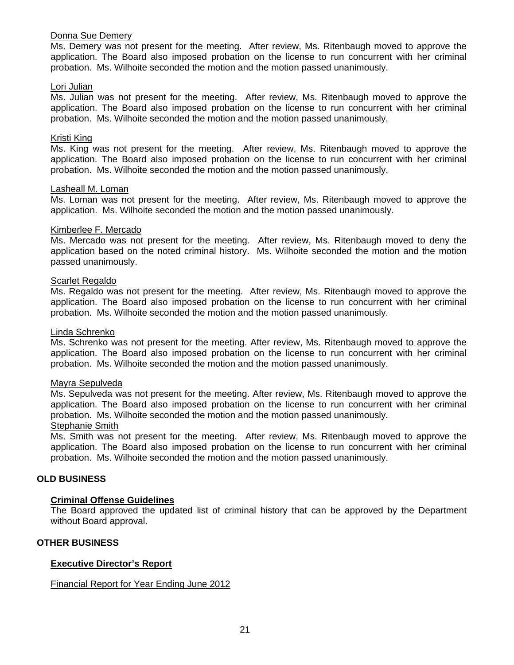### Donna Sue Demery

Ms. Demery was not present for the meeting. After review, Ms. Ritenbaugh moved to approve the application. The Board also imposed probation on the license to run concurrent with her criminal probation. Ms. Wilhoite seconded the motion and the motion passed unanimously.

### Lori Julian

Ms. Julian was not present for the meeting. After review, Ms. Ritenbaugh moved to approve the application. The Board also imposed probation on the license to run concurrent with her criminal probation. Ms. Wilhoite seconded the motion and the motion passed unanimously.

## Kristi King

Ms. King was not present for the meeting. After review, Ms. Ritenbaugh moved to approve the application. The Board also imposed probation on the license to run concurrent with her criminal probation. Ms. Wilhoite seconded the motion and the motion passed unanimously.

#### Lasheall M. Loman

Ms. Loman was not present for the meeting. After review, Ms. Ritenbaugh moved to approve the application. Ms. Wilhoite seconded the motion and the motion passed unanimously.

#### Kimberlee F. Mercado

Ms. Mercado was not present for the meeting. After review, Ms. Ritenbaugh moved to deny the application based on the noted criminal history. Ms. Wilhoite seconded the motion and the motion passed unanimously.

#### Scarlet Regaldo

Ms. Regaldo was not present for the meeting. After review, Ms. Ritenbaugh moved to approve the application. The Board also imposed probation on the license to run concurrent with her criminal probation. Ms. Wilhoite seconded the motion and the motion passed unanimously.

### Linda Schrenko

Ms. Schrenko was not present for the meeting. After review, Ms. Ritenbaugh moved to approve the application. The Board also imposed probation on the license to run concurrent with her criminal probation. Ms. Wilhoite seconded the motion and the motion passed unanimously.

#### Mayra Sepulveda

Ms. Sepulveda was not present for the meeting. After review, Ms. Ritenbaugh moved to approve the application. The Board also imposed probation on the license to run concurrent with her criminal probation. Ms. Wilhoite seconded the motion and the motion passed unanimously.

#### Stephanie Smith

Ms. Smith was not present for the meeting. After review, Ms. Ritenbaugh moved to approve the application. The Board also imposed probation on the license to run concurrent with her criminal probation. Ms. Wilhoite seconded the motion and the motion passed unanimously.

#### **OLD BUSINESS**

#### **Criminal Offense Guidelines**

The Board approved the updated list of criminal history that can be approved by the Department without Board approval.

#### **OTHER BUSINESS**

## **Executive Director's Report**

#### Financial Report for Year Ending June 2012